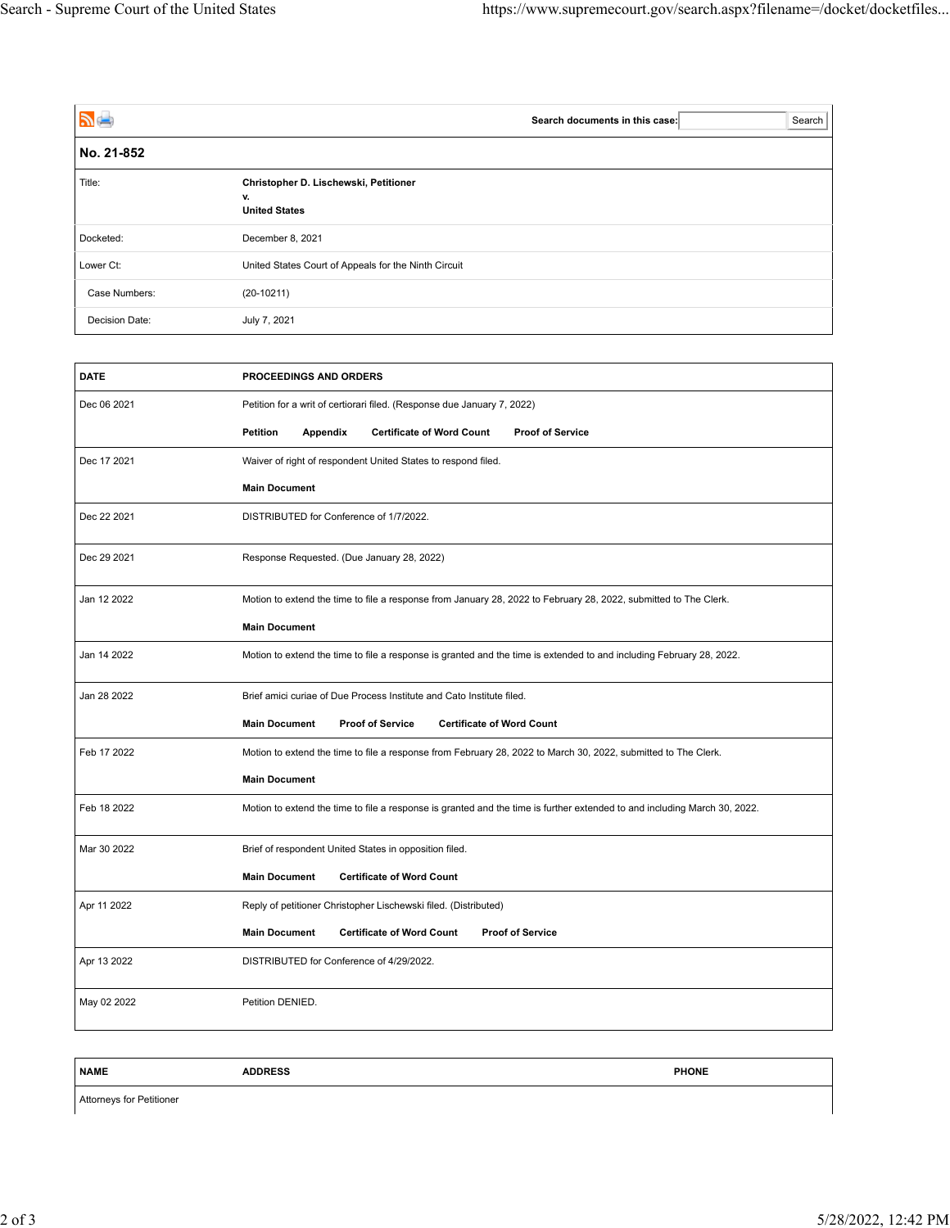| アー             | Search<br>Search documents in this case:                            |
|----------------|---------------------------------------------------------------------|
| No. 21-852     |                                                                     |
| Title:         | Christopher D. Lischewski, Petitioner<br>v.<br><b>United States</b> |
| Docketed:      | December 8, 2021                                                    |
| Lower Ct:      | United States Court of Appeals for the Ninth Circuit                |
| Case Numbers:  | $(20-10211)$                                                        |
| Decision Date: | July 7, 2021                                                        |

| <b>DATE</b> | PROCEEDINGS AND ORDERS                                                                                                    |  |  |
|-------------|---------------------------------------------------------------------------------------------------------------------------|--|--|
| Dec 06 2021 | Petition for a writ of certiorari filed. (Response due January 7, 2022)                                                   |  |  |
|             | <b>Petition</b><br>Appendix<br><b>Certificate of Word Count</b><br><b>Proof of Service</b>                                |  |  |
| Dec 17 2021 | Waiver of right of respondent United States to respond filed.                                                             |  |  |
|             | <b>Main Document</b>                                                                                                      |  |  |
| Dec 22 2021 | DISTRIBUTED for Conference of 1/7/2022.                                                                                   |  |  |
| Dec 29 2021 | Response Requested. (Due January 28, 2022)                                                                                |  |  |
| Jan 12 2022 | Motion to extend the time to file a response from January 28, 2022 to February 28, 2022, submitted to The Clerk.          |  |  |
|             | <b>Main Document</b>                                                                                                      |  |  |
| Jan 14 2022 | Motion to extend the time to file a response is granted and the time is extended to and including February 28, 2022.      |  |  |
| Jan 28 2022 | Brief amici curiae of Due Process Institute and Cato Institute filed.                                                     |  |  |
|             | <b>Main Document</b><br><b>Proof of Service</b><br><b>Certificate of Word Count</b>                                       |  |  |
| Feb 17 2022 | Motion to extend the time to file a response from February 28, 2022 to March 30, 2022, submitted to The Clerk.            |  |  |
|             | <b>Main Document</b>                                                                                                      |  |  |
| Feb 18 2022 | Motion to extend the time to file a response is granted and the time is further extended to and including March 30, 2022. |  |  |
| Mar 30 2022 | Brief of respondent United States in opposition filed.                                                                    |  |  |
|             | <b>Main Document</b><br><b>Certificate of Word Count</b>                                                                  |  |  |
| Apr 11 2022 | Reply of petitioner Christopher Lischewski filed. (Distributed)                                                           |  |  |
|             | <b>Main Document</b><br><b>Certificate of Word Count</b><br><b>Proof of Service</b>                                       |  |  |
| Apr 13 2022 | DISTRIBUTED for Conference of 4/29/2022.                                                                                  |  |  |
| May 02 2022 | Petition DENIED.                                                                                                          |  |  |
|             |                                                                                                                           |  |  |

**NAME ADDRESS PHONE**

Attorneys for Petitioner